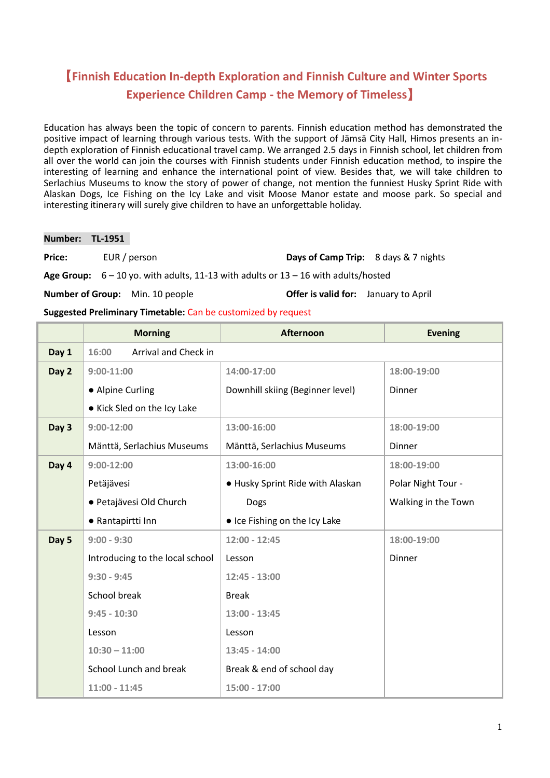# 【**Finnish Education In-depth Exploration and Finnish Culture and Winter Sports Experience Children Camp - the Memory of Timeless**】

Education has always been the topic of concern to parents. Finnish education method has demonstrated the positive impact of learning through various tests. With the support of Jämsä City Hall, Himos presents an indepth exploration of Finnish educational travel camp. We arranged 2.5 days in Finnish school, let children from all over the world can join the courses with Finnish students under Finnish education method, to inspire the interesting of learning and enhance the international point of view. Besides that, we will take children to Serlachius Museums to know the story of power of change, not mention the funniest Husky Sprint Ride with Alaskan Dogs, Ice Fishing on the Icy Lake and visit Moose Manor estate and moose park. So special and interesting itinerary will surely give children to have an unforgettable holiday.

**Number: TL-1951**

**Price:** EUR / person **Days of Camp Trip:** 8 days & 7 nights

**Age Group:** 6 – 10 yo. with adults, 11-13 with adults or 13 – 16 with adults/hosted

**Number of Group:** Min. 10 people **Offer is valid for:** January to April

**Suggested Preliminary Timetable:** Can be customized by request

|       | <b>Morning</b>                  | <b>Afternoon</b>                 | <b>Evening</b>      |
|-------|---------------------------------|----------------------------------|---------------------|
| Day 1 | 16:00<br>Arrival and Check in   |                                  |                     |
| Day 2 | $9:00-11:00$                    | 14:00-17:00                      | 18:00-19:00         |
|       | • Alpine Curling                | Downhill skiing (Beginner level) | Dinner              |
|       | • Kick Sled on the Icy Lake     |                                  |                     |
| Day 3 | $9:00-12:00$                    | 13:00-16:00                      | 18:00-19:00         |
|       | Mänttä, Serlachius Museums      | Mänttä, Serlachius Museums       | Dinner              |
| Day 4 | $9:00-12:00$                    | 13:00-16:00                      | 18:00-19:00         |
|       | Petäjävesi                      | • Husky Sprint Ride with Alaskan | Polar Night Tour -  |
|       | · Petajävesi Old Church         | Dogs                             | Walking in the Town |
|       | • Rantapirtti Inn               | • Ice Fishing on the Icy Lake    |                     |
| Day 5 | $9:00 - 9:30$                   | $12:00 - 12:45$                  | 18:00-19:00         |
|       | Introducing to the local school | Lesson                           | Dinner              |
|       | $9:30 - 9:45$                   | $12:45 - 13:00$                  |                     |
|       | School break                    | <b>Break</b>                     |                     |
|       | $9:45 - 10:30$                  | $13:00 - 13:45$                  |                     |
|       | Lesson                          | Lesson                           |                     |
|       | $10:30 - 11:00$                 | 13:45 - 14:00                    |                     |
|       | School Lunch and break          | Break & end of school day        |                     |
|       | $11:00 - 11:45$                 | 15:00 - 17:00                    |                     |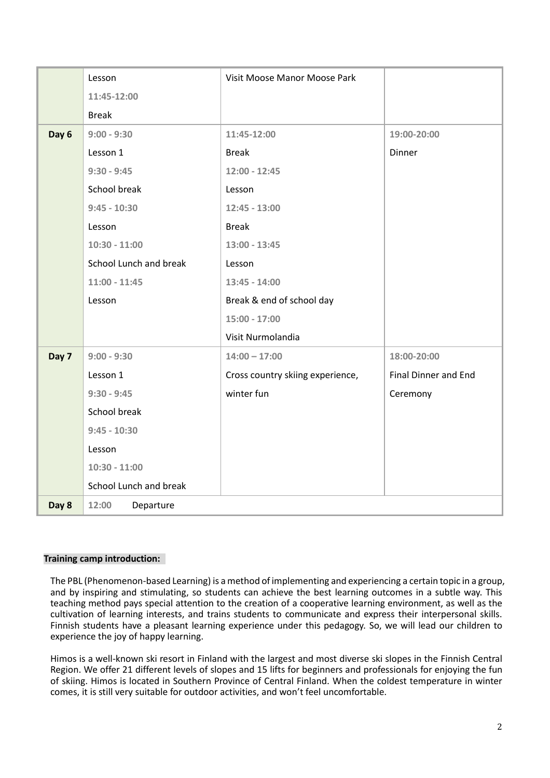|       | Lesson                 | Visit Moose Manor Moose Park     |                      |
|-------|------------------------|----------------------------------|----------------------|
|       | 11:45-12:00            |                                  |                      |
|       | <b>Break</b>           |                                  |                      |
| Day 6 | $9:00 - 9:30$          | 11:45-12:00                      | 19:00-20:00          |
|       | Lesson 1               | <b>Break</b>                     | Dinner               |
|       | $9:30 - 9:45$          | $12:00 - 12:45$                  |                      |
|       | School break           | Lesson                           |                      |
|       | $9:45 - 10:30$         | $12:45 - 13:00$                  |                      |
|       | Lesson                 | <b>Break</b>                     |                      |
|       | $10:30 - 11:00$        | $13:00 - 13:45$                  |                      |
|       | School Lunch and break | Lesson                           |                      |
|       | $11:00 - 11:45$        | $13:45 - 14:00$                  |                      |
|       | Lesson                 | Break & end of school day        |                      |
|       |                        | $15:00 - 17:00$                  |                      |
|       |                        | Visit Nurmolandia                |                      |
| Day 7 | $9:00 - 9:30$          | $14:00 - 17:00$                  | 18:00-20:00          |
|       | Lesson 1               | Cross country skiing experience, | Final Dinner and End |
|       | $9:30 - 9:45$          | winter fun                       | Ceremony             |
|       | School break           |                                  |                      |
|       | $9:45 - 10:30$         |                                  |                      |
|       | Lesson                 |                                  |                      |
|       | $10:30 - 11:00$        |                                  |                      |
|       | School Lunch and break |                                  |                      |
| Day 8 | 12:00<br>Departure     |                                  |                      |

## **Training camp introduction:**

The PBL (Phenomenon-based Learning) is a method of implementing and experiencing a certain topic in a group, and by inspiring and stimulating, so students can achieve the best learning outcomes in a subtle way. This teaching method pays special attention to the creation of a cooperative learning environment, as well as the cultivation of learning interests, and trains students to communicate and express their interpersonal skills. Finnish students have a pleasant learning experience under this pedagogy. So, we will lead our children to experience the joy of happy learning.

Himos is a well-known ski resort in Finland with the largest and most diverse ski slopes in the Finnish Central Region. We offer 21 different levels of slopes and 15 lifts for beginners and professionals for enjoying the fun of skiing. Himos is located in Southern Province of Central Finland. When the coldest temperature in winter comes, it is still very suitable for outdoor activities, and won't feel uncomfortable.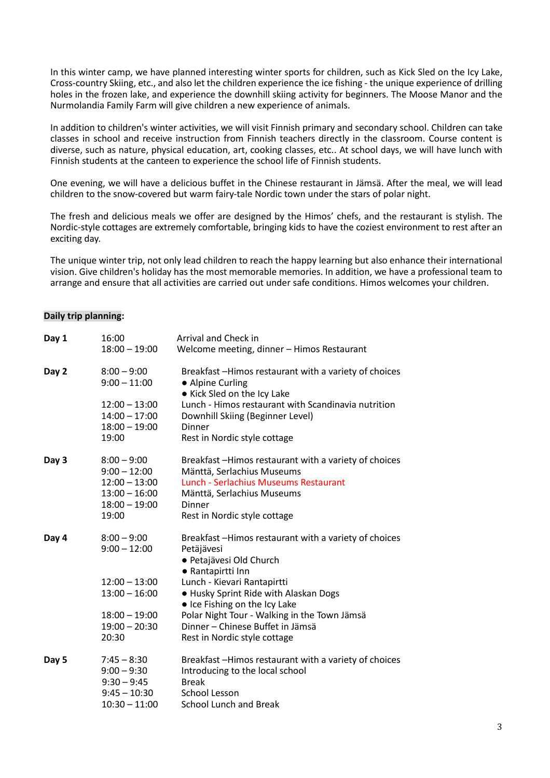In this winter camp, we have planned interesting winter sports for children, such as Kick Sled on the Icy Lake, Cross-country Skiing, etc., and also let the children experience the ice fishing - the unique experience of drilling holes in the frozen lake, and experience the downhill skiing activity for beginners. The Moose Manor and the Nurmolandia Family Farm will give children a new experience of animals.

In addition to children's winter activities, we will visit Finnish primary and secondary school. Children can take classes in school and receive instruction from Finnish teachers directly in the classroom. Course content is diverse, such as nature, physical education, art, cooking classes, etc.. At school days, we will have lunch with Finnish students at the canteen to experience the school life of Finnish students.

One evening, we will have a delicious buffet in the Chinese restaurant in Jämsä. After the meal, we will lead children to the snow-covered but warm fairy-tale Nordic town under the stars of polar night.

The fresh and delicious meals we offer are designed by the Himos' chefs, and the restaurant is stylish. The Nordic-style cottages are extremely comfortable, bringing kids to have the coziest environment to rest after an exciting day.

The unique winter trip, not only lead children to reach the happy learning but also enhance their international vision. Give children's holiday has the most memorable memories. In addition, we have a professional team to arrange and ensure that all activities are carried out under safe conditions. Himos welcomes your children.

## **Daily trip planning:**

| Day 1 | 16:00                                                                                                                | Arrival and Check in                                                                                                                                                                                                                                                                                                                             |
|-------|----------------------------------------------------------------------------------------------------------------------|--------------------------------------------------------------------------------------------------------------------------------------------------------------------------------------------------------------------------------------------------------------------------------------------------------------------------------------------------|
|       | $18:00 - 19:00$                                                                                                      | Welcome meeting, dinner - Himos Restaurant                                                                                                                                                                                                                                                                                                       |
| Day 2 | $8:00 - 9:00$<br>$9:00 - 11:00$<br>$12:00 - 13:00$<br>$14:00 - 17:00$<br>$18:00 - 19:00$<br>19:00                    | Breakfast -Himos restaurant with a variety of choices<br>• Alpine Curling<br>• Kick Sled on the Icy Lake<br>Lunch - Himos restaurant with Scandinavia nutrition<br>Downhill Skiing (Beginner Level)<br>Dinner<br>Rest in Nordic style cottage                                                                                                    |
| Day 3 | $8:00 - 9:00$<br>$9:00 - 12:00$<br>$12:00 - 13:00$<br>$13:00 - 16:00$<br>$18:00 - 19:00$<br>19:00                    | Breakfast -Himos restaurant with a variety of choices<br>Mänttä, Serlachius Museums<br>Lunch - Serlachius Museums Restaurant<br>Mänttä, Serlachius Museums<br>Dinner<br>Rest in Nordic style cottage                                                                                                                                             |
| Day 4 | $8:00 - 9:00$<br>$9:00 - 12:00$<br>$12:00 - 13:00$<br>$13:00 - 16:00$<br>$18:00 - 19:00$<br>$19:00 - 20:30$<br>20:30 | Breakfast -Himos restaurant with a variety of choices<br>Petäjävesi<br>· Petajävesi Old Church<br>• Rantapirtti Inn<br>Lunch - Kievari Rantapirtti<br>. Husky Sprint Ride with Alaskan Dogs<br>• Ice Fishing on the Icy Lake<br>Polar Night Tour - Walking in the Town Jämsä<br>Dinner - Chinese Buffet in Jämsä<br>Rest in Nordic style cottage |
| Day 5 | $7:45 - 8:30$<br>$9:00 - 9:30$<br>$9:30 - 9:45$<br>$9:45 - 10:30$<br>$10:30 - 11:00$                                 | Breakfast -Himos restaurant with a variety of choices<br>Introducing to the local school<br><b>Break</b><br>School Lesson<br>School Lunch and Break                                                                                                                                                                                              |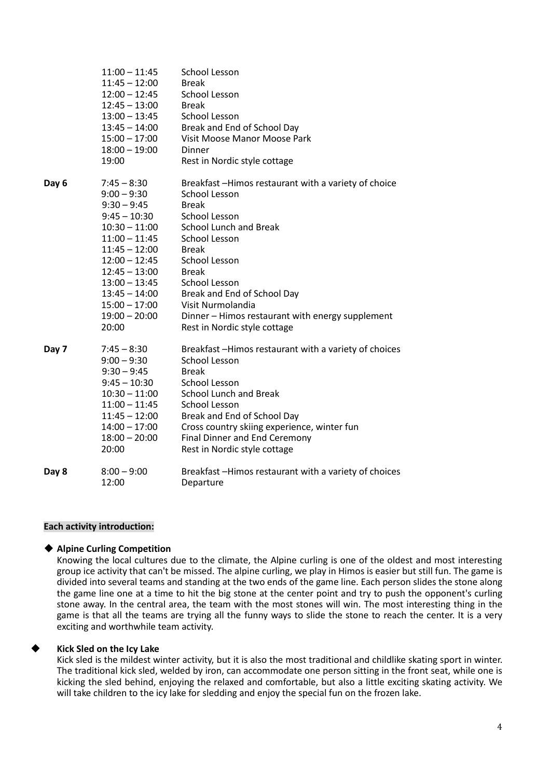|       | $11:00 - 11:45$<br>$11:45 - 12:00$<br>$12:00 - 12:45$<br>$12:45 - 13:00$<br>$13:00 - 13:45$<br>$13:45 - 14:00$<br>$15:00 - 17:00$<br>$18:00 - 19:00$<br>19:00                                                                                         | <b>School Lesson</b><br><b>Break</b><br><b>School Lesson</b><br><b>Break</b><br><b>School Lesson</b><br>Break and End of School Day<br>Visit Moose Manor Moose Park<br>Dinner<br>Rest in Nordic style cottage                                                                                                                                                                                         |
|-------|-------------------------------------------------------------------------------------------------------------------------------------------------------------------------------------------------------------------------------------------------------|-------------------------------------------------------------------------------------------------------------------------------------------------------------------------------------------------------------------------------------------------------------------------------------------------------------------------------------------------------------------------------------------------------|
| Day 6 | $7:45 - 8:30$<br>$9:00 - 9:30$<br>$9:30 - 9:45$<br>$9:45 - 10:30$<br>$10:30 - 11:00$<br>$11:00 - 11:45$<br>$11:45 - 12:00$<br>$12:00 - 12:45$<br>$12:45 - 13:00$<br>$13:00 - 13:45$<br>$13:45 - 14:00$<br>$15:00 - 17:00$<br>$19:00 - 20:00$<br>20:00 | Breakfast -Himos restaurant with a variety of choice<br><b>School Lesson</b><br><b>Break</b><br><b>School Lesson</b><br><b>School Lunch and Break</b><br><b>School Lesson</b><br><b>Break</b><br><b>School Lesson</b><br><b>Break</b><br><b>School Lesson</b><br>Break and End of School Day<br>Visit Nurmolandia<br>Dinner - Himos restaurant with energy supplement<br>Rest in Nordic style cottage |
| Day 7 | $7:45 - 8:30$<br>$9:00 - 9:30$<br>$9:30 - 9:45$<br>$9:45 - 10:30$<br>$10:30 - 11:00$<br>$11:00 - 11:45$<br>$11:45 - 12:00$<br>$14:00 - 17:00$<br>$18:00 - 20:00$<br>20:00                                                                             | Breakfast-Himos restaurant with a variety of choices<br><b>School Lesson</b><br><b>Break</b><br><b>School Lesson</b><br><b>School Lunch and Break</b><br><b>School Lesson</b><br>Break and End of School Day<br>Cross country skiing experience, winter fun<br>Final Dinner and End Ceremony<br>Rest in Nordic style cottage                                                                          |
| Day 8 | $8:00 - 9:00$<br>12:00                                                                                                                                                                                                                                | Breakfast-Himos restaurant with a variety of choices<br>Departure                                                                                                                                                                                                                                                                                                                                     |

## **Each activity introduction:**

## ◆ **Alpine Curling Competition**

Knowing the local cultures due to the climate, the Alpine curling is one of the oldest and most interesting group ice activity that can't be missed. The alpine curling, we play in Himos is easier but still fun. The game is divided into several teams and standing at the two ends of the game line. Each person slides the stone along the game line one at a time to hit the big stone at the center point and try to push the opponent's curling stone away. In the central area, the team with the most stones will win. The most interesting thing in the game is that all the teams are trying all the funny ways to slide the stone to reach the center. It is a very exciting and worthwhile team activity.

# **Kick Sled on the Icy Lake**

Kick sled is the mildest winter activity, but it is also the most traditional and childlike skating sport in winter. The traditional kick sled, welded by iron, can accommodate one person sitting in the front seat, while one is kicking the sled behind, enjoying the relaxed and comfortable, but also a little exciting skating activity. We will take children to the icy lake for sledding and enjoy the special fun on the frozen lake.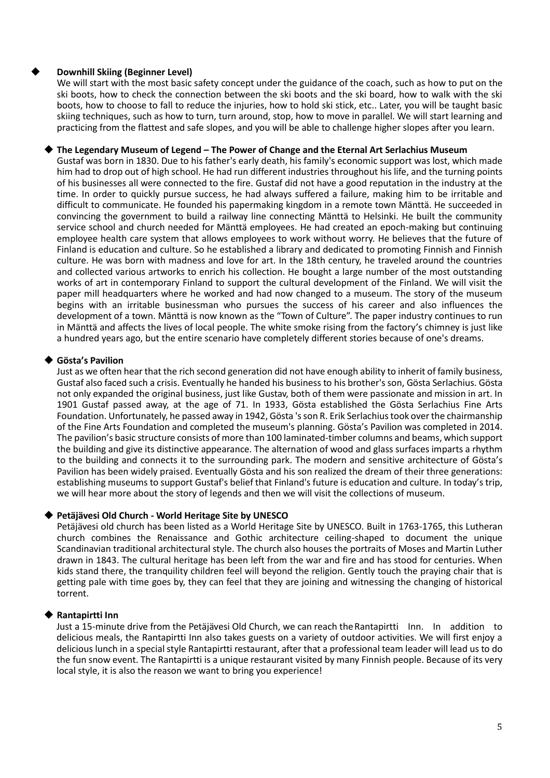# **Downhill Skiing (Beginner Level)**

We will start with the most basic safety concept under the guidance of the coach, such as how to put on the ski boots, how to check the connection between the ski boots and the ski board, how to walk with the ski boots, how to choose to fall to reduce the injuries, how to hold ski stick, etc.. Later, you will be taught basic skiing techniques, such as how to turn, turn around, stop, how to move in parallel. We will start learning and practicing from the flattest and safe slopes, and you will be able to challenge higher slopes after you learn.

#### ◆ **The Legendary Museum of Legend – The Power of Change and the Eternal Art Serlachius Museum**

Gustaf was born in 1830. Due to his father's early death, his family's economic support was lost, which made him had to drop out of high school. He had run different industries throughout his life, and the turning points of his businesses all were connected to the fire. Gustaf did not have a good reputation in the industry at the time. In order to quickly pursue success, he had always suffered a failure, making him to be irritable and difficult to communicate. He founded his papermaking kingdom in a remote town Mänttä. He succeeded in convincing the government to build a railway line connecting Mänttä to Helsinki. He built the community service school and church needed for Mänttä employees. He had created an epoch-making but continuing employee health care system that allows employees to work without worry. He believes that the future of Finland is education and culture. So he established a library and dedicated to promoting Finnish and Finnish culture. He was born with madness and love for art. In the 18th century, he traveled around the countries and collected various artworks to enrich his collection. He bought a large number of the most outstanding works of art in contemporary Finland to support the cultural development of the Finland. We will visit the paper mill headquarters where he worked and had now changed to a museum. The story of the museum begins with an irritable businessman who pursues the success of his career and also influences the development of a town. Mänttä is now known as the "Town of Culture". The paper industry continues to run in Mänttä and affects the lives of local people. The white smoke rising from the factory's chimney is just like a hundred years ago, but the entire scenario have completely different stories because of one's dreams.

## ◆ **Gösta's Pavilion**

Just as we often hear that the rich second generation did not have enough ability to inherit of family business, Gustaf also faced such a crisis. Eventually he handed his business to his brother's son, Gösta Serlachius. Gösta not only expanded the original business, just like Gustav, both of them were passionate and mission in art. In 1901 Gustaf passed away, at the age of 71. In 1933, Gösta established the Gösta Serlachius Fine Arts Foundation. Unfortunately, he passed away in 1942, Gösta 's son R. Erik Serlachius took over the chairmanship of the Fine Arts Foundation and completed the museum's planning. Gösta's Pavilion was completed in 2014. The pavilion's basic structure consists of more than 100 laminated-timber columns and beams, which support the building and give its distinctive appearance. The alternation of wood and glass surfaces imparts a rhythm to the building and connects it to the surrounding park. The modern and sensitive architecture of Gösta's Pavilion has been widely praised. Eventually Gösta and his son realized the dream of their three generations: establishing museums to support Gustaf's belief that Finland's future is education and culture. In today's trip, we will hear more about the story of legends and then we will visit the collections of museum.

## ◆ **Petäjävesi Old Church - World Heritage Site by UNESCO**

Petäjävesi old church has been listed as a World Heritage Site by UNESCO. Built in 1763-1765, this Lutheran church combines the Renaissance and Gothic architecture ceiling-shaped to document the unique Scandinavian traditional architectural style. The church also houses the portraits of Moses and Martin Luther drawn in 1843. The cultural heritage has been left from the war and fire and has stood for centuries. When kids stand there, the tranquility children feel will beyond the religion. Gently touch the praying chair that is getting pale with time goes by, they can feel that they are joining and witnessing the changing of historical torrent.

## ◆ **Rantapirtti Inn**

Just a 15-minute drive from the Petäjävesi Old Church, we can reach theRantapirtti Inn. In addition to delicious meals, the Rantapirtti Inn also takes guests on a variety of outdoor activities. We will first enjoy a delicious lunch in a special style Rantapirtti restaurant, after that a professional team leader will lead us to do the fun snow event. The Rantapirtti is a unique restaurant visited by many Finnish people. Because of its very local style, it is also the reason we want to bring you experience!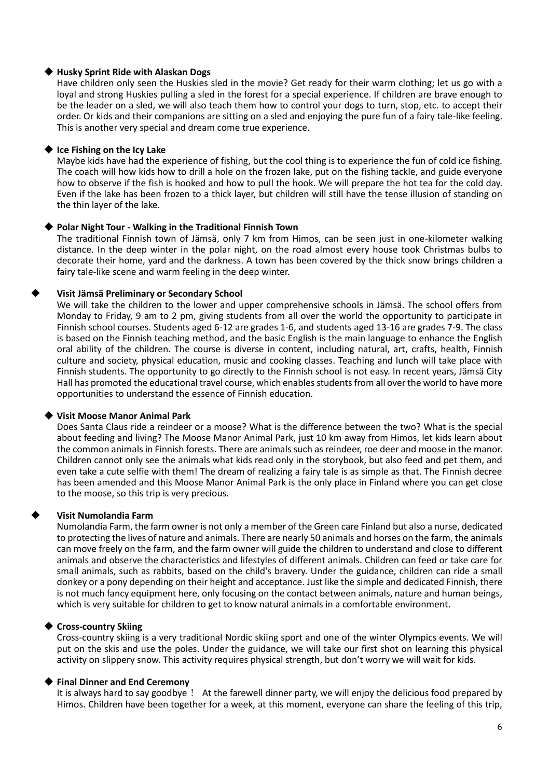## ◆ **Husky Sprint Ride with Alaskan Dogs**

Have children only seen the Huskies sled in the movie? Get ready for their warm clothing; let us go with a loyal and strong Huskies pulling a sled in the forest for a special experience. If children are brave enough to be the leader on a sled, we will also teach them how to control your dogs to turn, stop, etc. to accept their order. Or kids and their companions are sitting on a sled and enjoying the pure fun of a fairy tale-like feeling. This is another very special and dream come true experience.

## ◆ **Ice Fishing on the Icy Lake**

Maybe kids have had the experience of fishing, but the cool thing is to experience the fun of cold ice fishing. The coach will how kids how to drill a hole on the frozen lake, put on the fishing tackle, and guide everyone how to observe if the fish is hooked and how to pull the hook. We will prepare the hot tea for the cold day. Even if the lake has been frozen to a thick layer, but children will still have the tense illusion of standing on the thin layer of the lake.

## ◆ **Polar Night Tour - Walking in the Traditional Finnish Town**

The traditional Finnish town of Jämsä, only 7 km from Himos, can be seen just in one-kilometer walking distance. In the deep winter in the polar night, on the road almost every house took Christmas bulbs to decorate their home, yard and the darkness. A town has been covered by the thick snow brings children a fairy tale-like scene and warm feeling in the deep winter.

## ◆ **Visit Jämsä Preliminary or Secondary School**

We will take the children to the lower and upper comprehensive schools in Jämsä. The school offers from Monday to Friday, 9 am to 2 pm, giving students from all over the world the opportunity to participate in Finnish school courses. Students aged 6-12 are grades 1-6, and students aged 13-16 are grades 7-9. The class is based on the Finnish teaching method, and the basic English is the main language to enhance the English oral ability of the children. The course is diverse in content, including natural, art, crafts, health, Finnish culture and society, physical education, music and cooking classes. Teaching and lunch will take place with Finnish students. The opportunity to go directly to the Finnish school is not easy. In recent years, Jämsä City Hall has promoted the educational travel course, which enables students from all over the world to have more opportunities to understand the essence of Finnish education.

## ◆ **Visit Moose Manor Animal Park**

Does Santa Claus ride a reindeer or a moose? What is the difference between the two? What is the special about feeding and living? The Moose Manor Animal Park, just 10 km away from Himos, let kids learn about the common animals in Finnish forests. There are animals such as reindeer, roe deer and moose in the manor. Children cannot only see the animals what kids read only in the storybook, but also feed and pet them, and even take a cute selfie with them! The dream of realizing a fairy tale is as simple as that. The Finnish decree has been amended and this Moose Manor Animal Park is the only place in Finland where you can get close to the moose, so this trip is very precious.

# ◆ **Visit Numolandia Farm**

Numolandia Farm, the farm owner is not only a member of the Green care Finland but also a nurse, dedicated to protecting the lives of nature and animals. There are nearly 50 animals and horses on the farm, the animals can move freely on the farm, and the farm owner will guide the children to understand and close to different animals and observe the characteristics and lifestyles of different animals. Children can feed or take care for small animals, such as rabbits, based on the child's bravery. Under the guidance, children can ride a small donkey or a pony depending on their height and acceptance. Just like the simple and dedicated Finnish, there is not much fancy equipment here, only focusing on the contact between animals, nature and human beings, which is very suitable for children to get to know natural animals in a comfortable environment.

## ◆ **Cross-country Skiing**

Cross-country skiing is a very traditional Nordic skiing sport and one of the winter Olympics events. We will put on the skis and use the poles. Under the guidance, we will take our first shot on learning this physical activity on slippery snow. This activity requires physical strength, but don't worry we will wait for kids.

# **Final Dinner and End Ceremony**

It is always hard to say goodbye! At the farewell dinner party, we will enjoy the delicious food prepared by Himos. Children have been together for a week, at this moment, everyone can share the feeling of this trip,